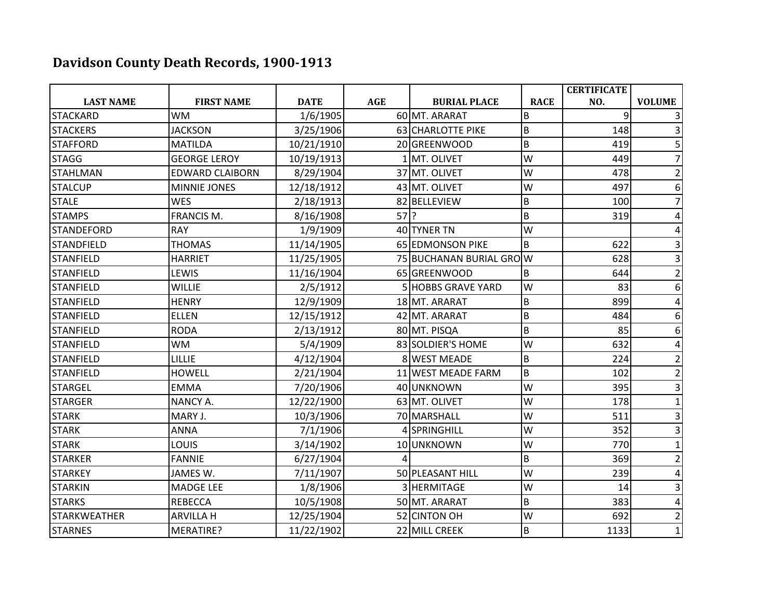## **Davidson County Death Records, 1900-1913**

|                     |                        |             |        |                         |             | <b>CERTIFICATE</b> |                |
|---------------------|------------------------|-------------|--------|-------------------------|-------------|--------------------|----------------|
| <b>LAST NAME</b>    | <b>FIRST NAME</b>      | <b>DATE</b> | AGE    | <b>BURIAL PLACE</b>     | <b>RACE</b> | NO.                | <b>VOLUME</b>  |
| <b>STACKARD</b>     | <b>WM</b>              | 1/6/1905    |        | 60 MT. ARARAT           | B           | 9                  |                |
| <b>STACKERS</b>     | <b>JACKSON</b>         | 3/25/1906   |        | 63 CHARLOTTE PIKE       | B           | 148                |                |
| <b>STAFFORD</b>     | <b>MATILDA</b>         | 10/21/1910  |        | 20 GREENWOOD            | B           | 419                | 5              |
| <b>STAGG</b>        | <b>GEORGE LEROY</b>    | 10/19/1913  |        | 1 MT. OLIVET            | W           | 449                |                |
| <b>STAHLMAN</b>     | <b>EDWARD CLAIBORN</b> | 8/29/1904   |        | 37 MT. OLIVET           | W           | 478                |                |
| <b>STALCUP</b>      | <b>MINNIE JONES</b>    | 12/18/1912  |        | 43 MT. OLIVET           | W           | 497                | 6              |
| <b>STALE</b>        | <b>WES</b>             | 2/18/1913   |        | 82 BELLEVIEW            | B           | 100                | 7              |
| <b>STAMPS</b>       | <b>FRANCIS M.</b>      | 8/16/1908   | $57$ ? |                         | B           | 319                | 4              |
| <b>STANDEFORD</b>   | <b>RAY</b>             | 1/9/1909    |        | 40 TYNER TN             | W           |                    |                |
| <b>STANDFIELD</b>   | <b>THOMAS</b>          | 11/14/1905  |        | <b>65 EDMONSON PIKE</b> | B           | 622                | 3              |
| <b>STANFIELD</b>    | <b>HARRIET</b>         | 11/25/1905  |        | 75 BUCHANAN BURIAL GROW |             | 628                | 3              |
| <b>STANFIELD</b>    | LEWIS                  | 11/16/1904  |        | 65 GREENWOOD            | B           | 644                | $\overline{2}$ |
| <b>STANFIELD</b>    | <b>WILLIE</b>          | 2/5/1912    |        | 5 HOBBS GRAVE YARD      | W           | 83                 | 6              |
| <b>STANFIELD</b>    | <b>HENRY</b>           | 12/9/1909   |        | 18 MT. ARARAT           | B           | 899                | 4              |
| <b>STANFIELD</b>    | <b>ELLEN</b>           | 12/15/1912  |        | 42 MT. ARARAT           | B           | 484                | 6              |
| STANFIELD           | <b>RODA</b>            | 2/13/1912   |        | 80 MT. PISQA            | B           | 85                 | 6              |
| <b>STANFIELD</b>    | <b>WM</b>              | 5/4/1909    |        | 83 SOLDIER'S HOME       | W           | 632                | 4              |
| <b>STANFIELD</b>    | <b>LILLIE</b>          | 4/12/1904   |        | 8 WEST MEADE            | B           | 224                | $\overline{2}$ |
| <b>STANFIELD</b>    | <b>HOWELL</b>          | 2/21/1904   |        | 11 WEST MEADE FARM      | B           | 102                | $\overline{2}$ |
| <b>STARGEL</b>      | <b>EMMA</b>            | 7/20/1906   |        | 40 UNKNOWN              | W           | 395                |                |
| <b>STARGER</b>      | <b>NANCY A.</b>        | 12/22/1900  |        | 63 MT. OLIVET           | W           | 178                |                |
| <b>STARK</b>        | MARY J.                | 10/3/1906   |        | 70 MARSHALL             | W           | 511                | 3              |
| <b>STARK</b>        | <b>ANNA</b>            | 7/1/1906    |        | 4 SPRINGHILL            | W           | 352                | 3              |
| <b>STARK</b>        | LOUIS                  | 3/14/1902   |        | 10 UNKNOWN              | W           | 770                | 1              |
| <b>STARKER</b>      | <b>FANNIE</b>          | 6/27/1904   |        |                         | B           | 369                | $\overline{2}$ |
| <b>STARKEY</b>      | JAMES W.               | 7/11/1907   |        | 50 PLEASANT HILL        | W           | 239                | 4              |
| <b>STARKIN</b>      | <b>MADGE LEE</b>       | 1/8/1906    |        | 3 HERMITAGE             | W           | 14                 | 3              |
| <b>STARKS</b>       | <b>REBECCA</b>         | 10/5/1908   |        | 50 MT. ARARAT           | B           | 383                | 4              |
| <b>STARKWEATHER</b> | <b>ARVILLA H</b>       | 12/25/1904  |        | 52 CINTON OH            | W           | 692                | 2              |
| <b>STARNES</b>      | MERATIRE?              | 11/22/1902  |        | 22 MILL CREEK           | B           | 1133               | $\mathbf{1}$   |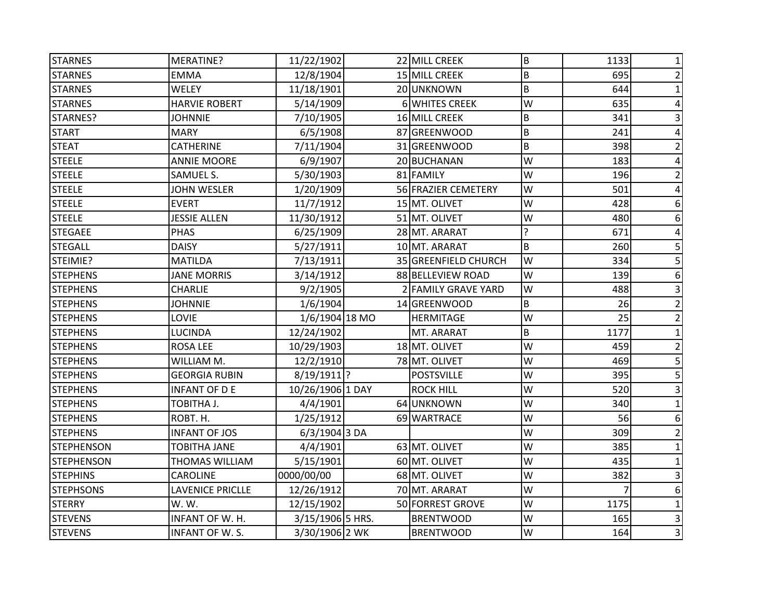| <b>STARNES</b>    | MERATINE?             | 11/22/1902       | 22 MILL CREEK        | $\sf B$ | 1133 | 1              |
|-------------------|-----------------------|------------------|----------------------|---------|------|----------------|
| <b>STARNES</b>    | <b>EMMA</b>           | 12/8/1904        | 15 MILL CREEK        | B       | 695  | 2              |
| <b>STARNES</b>    | <b>WELEY</b>          | 11/18/1901       | 20 UNKNOWN           | B       | 644  | $\mathbf{1}$   |
| <b>STARNES</b>    | <b>HARVIE ROBERT</b>  | 5/14/1909        | 6 WHITES CREEK       | W       | 635  | 4              |
| STARNES?          | <b>JOHNNIE</b>        | 7/10/1905        | 16 MILL CREEK        | B       | 341  |                |
| <b>START</b>      | <b>MARY</b>           | 6/5/1908         | 87 GREENWOOD         | B       | 241  |                |
| <b>STEAT</b>      | <b>CATHERINE</b>      | 7/11/1904        | 31 GREENWOOD         | B       | 398  | $\overline{2}$ |
| <b>STEELE</b>     | <b>ANNIE MOORE</b>    | 6/9/1907         | 20 BUCHANAN          | W       | 183  | 4              |
| <b>STEELE</b>     | <b>SAMUEL S.</b>      | 5/30/1903        | 81 FAMILY            | W       | 196  | $\overline{2}$ |
| <b>STEELE</b>     | <b>JOHN WESLER</b>    | 1/20/1909        | 56 FRAZIER CEMETERY  | W       | 501  |                |
| <b>STEELE</b>     | <b>EVERT</b>          | 11/7/1912        | 15 MT. OLIVET        | W       | 428  | 6              |
| <b>STEELE</b>     | <b>JESSIE ALLEN</b>   | 11/30/1912       | 51 MT. OLIVET        | W       | 480  | 6              |
| <b>STEGAEE</b>    | <b>PHAS</b>           | 6/25/1909        | 28 MT. ARARAT        | ?       | 671  | 4              |
| <b>STEGALL</b>    | <b>DAISY</b>          | 5/27/1911        | 10 MT. ARARAT        | B       | 260  | 5              |
| STEIMIE?          | <b>MATILDA</b>        | 7/13/1911        | 35 GREENFIELD CHURCH | W       | 334  |                |
| <b>STEPHENS</b>   | <b>JANE MORRIS</b>    | 3/14/1912        | 88 BELLEVIEW ROAD    | W       | 139  | 6              |
| <b>STEPHENS</b>   | <b>CHARLIE</b>        | 9/2/1905         | 2 FAMILY GRAVE YARD  | W       | 488  | 3              |
| <b>STEPHENS</b>   | <b>JOHNNIE</b>        | 1/6/1904         | 14 GREENWOOD         | B       | 26   |                |
| <b>STEPHENS</b>   | <b>LOVIE</b>          | 1/6/1904 18 MO   | <b>HERMITAGE</b>     | W       | 25   | $\overline{2}$ |
| <b>STEPHENS</b>   | <b>LUCINDA</b>        | 12/24/1902       | MT. ARARAT           | B       | 1177 |                |
| <b>STEPHENS</b>   | <b>ROSA LEE</b>       | 10/29/1903       | 18 MT. OLIVET        | W       | 459  | 2              |
| <b>STEPHENS</b>   | WILLIAM M.            | 12/2/1910        | 78 MT. OLIVET        | W       | 469  | 5              |
| <b>STEPHENS</b>   | <b>GEORGIA RUBIN</b>  | $8/19/1911$ ?    | <b>POSTSVILLE</b>    | W       | 395  | 5              |
| <b>STEPHENS</b>   | <b>INFANT OF DE</b>   | 10/26/1906 1 DAY | <b>ROCK HILL</b>     | W       | 520  | 3              |
| <b>STEPHENS</b>   | TOBITHA J.            | 4/4/1901         | 64 UNKNOWN           | W       | 340  |                |
| <b>STEPHENS</b>   | ROBT. H.              | 1/25/1912        | 69 WARTRACE          | W       | 56   | 6              |
| <b>STEPHENS</b>   | <b>INFANT OF JOS</b>  | 6/3/1904 3 DA    |                      | W       | 309  | 2              |
| <b>STEPHENSON</b> | <b>TOBITHA JANE</b>   | 4/4/1901         | 63 MT. OLIVET        | W       | 385  |                |
| <b>STEPHENSON</b> | <b>THOMAS WILLIAM</b> | 5/15/1901        | 60 MT. OLIVET        | W       | 435  |                |
| <b>STEPHINS</b>   | <b>CAROLINE</b>       | 0000/00/00       | 68 MT. OLIVET        | W       | 382  |                |
| <b>STEPHSONS</b>  | LAVENICE PRICLLE      | 12/26/1912       | 70 MT. ARARAT        | W       |      | 6              |
| <b>STERRY</b>     | W. W.                 | 12/15/1902       | 50 FORREST GROVE     | W       | 1175 | 1              |
| <b>STEVENS</b>    | INFANT OF W. H.       | 3/15/1906 5 HRS. | <b>BRENTWOOD</b>     | W       | 165  | 3              |
| <b>STEVENS</b>    | INFANT OF W. S.       | 3/30/1906 2 WK   | <b>BRENTWOOD</b>     | W       | 164  | 3              |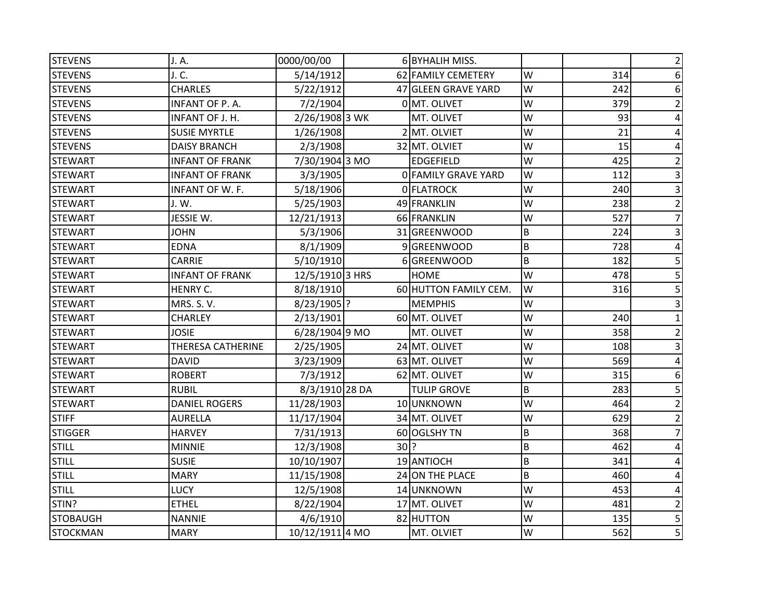| <b>STEVENS</b>  | J. A.                  | 0000/00/00      |        | 6 BYHALIH MISS.       |   |     | 2              |
|-----------------|------------------------|-----------------|--------|-----------------------|---|-----|----------------|
| <b>STEVENS</b>  | J. C.                  | 5/14/1912       |        | 62 FAMILY CEMETERY    | W | 314 | 6              |
| <b>STEVENS</b>  | <b>CHARLES</b>         | 5/22/1912       |        | 47 GLEEN GRAVE YARD   | W | 242 | 6              |
| <b>STEVENS</b>  | INFANT OF P.A.         | 7/2/1904        |        | 0 MT. OLIVET          | W | 379 | $\overline{2}$ |
| <b>STEVENS</b>  | INFANT OF J. H.        | 2/26/1908 3 WK  |        | MT. OLIVET            | W | 93  |                |
| <b>STEVENS</b>  | <b>SUSIE MYRTLE</b>    | 1/26/1908       |        | 2 MT. OLVIET          | W | 21  |                |
| <b>STEVENS</b>  | <b>DAISY BRANCH</b>    | 2/3/1908        |        | 32 MT. OLVIET         | W | 15  |                |
| <b>STEWART</b>  | <b>INFANT OF FRANK</b> | 7/30/1904 3 MO  |        | <b>EDGEFIELD</b>      | W | 425 |                |
| <b>STEWART</b>  | <b>INFANT OF FRANK</b> | 3/3/1905        |        | 0 FAMILY GRAVE YARD   | W | 112 | 3              |
| <b>STEWART</b>  | <b>INFANT OF W. F.</b> | 5/18/1906       |        | 0 FLATROCK            | W | 240 |                |
| <b>STEWART</b>  | J. W.                  | 5/25/1903       |        | 49 FRANKLIN           | W | 238 | $\overline{2}$ |
| <b>STEWART</b>  | JESSIE W.              | 12/21/1913      |        | 66 FRANKLIN           | W | 527 | $\overline{7}$ |
| <b>STEWART</b>  | <b>JOHN</b>            | 5/3/1906        |        | 31 GREENWOOD          | B | 224 | 3              |
| <b>STEWART</b>  | <b>EDNA</b>            | 8/1/1909        |        | 9 GREENWOOD           | B | 728 |                |
| <b>STEWART</b>  | CARRIE                 | 5/10/1910       |        | 6 GREENWOOD           | B | 182 |                |
| <b>STEWART</b>  | <b>INFANT OF FRANK</b> | 12/5/1910 3 HRS |        | <b>HOME</b>           | W | 478 | 5              |
| <b>STEWART</b>  | HENRY C.               | 8/18/1910       |        | 60 HUTTON FAMILY CEM. | W | 316 | 5              |
| <b>STEWART</b>  | <b>MRS. S. V.</b>      | 8/23/1905 ?     |        | <b>MEMPHIS</b>        | W |     | 3              |
| <b>STEWART</b>  | <b>CHARLEY</b>         | 2/13/1901       |        | 60 MT. OLIVET         | W | 240 |                |
| <b>STEWART</b>  | <b>JOSIE</b>           | 6/28/1904 9 MO  |        | MT. OLIVET            | W | 358 | 2              |
| <b>STEWART</b>  | THERESA CATHERINE      | 2/25/1905       |        | 24 MT. OLIVET         | W | 108 | 3              |
| <b>STEWART</b>  | <b>DAVID</b>           | 3/23/1909       |        | 63 MT. OLIVET         | W | 569 | 4              |
| <b>STEWART</b>  | <b>ROBERT</b>          | 7/3/1912        |        | 62 MT. OLIVET         | W | 315 | 6              |
| <b>STEWART</b>  | <b>RUBIL</b>           | 8/3/1910 28 DA  |        | <b>TULIP GROVE</b>    | B | 283 | 5              |
| <b>STEWART</b>  | <b>DANIEL ROGERS</b>   | 11/28/1903      |        | 10 UNKNOWN            | W | 464 | $\overline{2}$ |
| <b>STIFF</b>    | <b>AURELLA</b>         | 11/17/1904      |        | 34 MT. OLIVET         | W | 629 |                |
| <b>STIGGER</b>  | <b>HARVEY</b>          | 7/31/1913       |        | 60 OGLSHY TN          | B | 368 |                |
| <b>STILL</b>    | <b>MINNIE</b>          | 12/3/1908       | $30$ ? |                       | B | 462 |                |
| <b>STILL</b>    | <b>SUSIE</b>           | 10/10/1907      |        | 19 ANTIOCH            | B | 341 |                |
| <b>STILL</b>    | <b>MARY</b>            | 11/15/1908      |        | 24 ON THE PLACE       | B | 460 |                |
| <b>STILL</b>    | <b>LUCY</b>            | 12/5/1908       |        | 14 UNKNOWN            | W | 453 | 4              |
| STIN?           | <b>ETHEL</b>           | 8/22/1904       |        | 17 MT. OLIVET         | W | 481 | $\overline{2}$ |
| <b>STOBAUGH</b> | <b>NANNIE</b>          | 4/6/1910        |        | 82 HUTTON             | W | 135 | 5              |
| <b>STOCKMAN</b> | <b>MARY</b>            | 10/12/1911 4 MO |        | MT. OLVIET            | W | 562 | 5 <sup>1</sup> |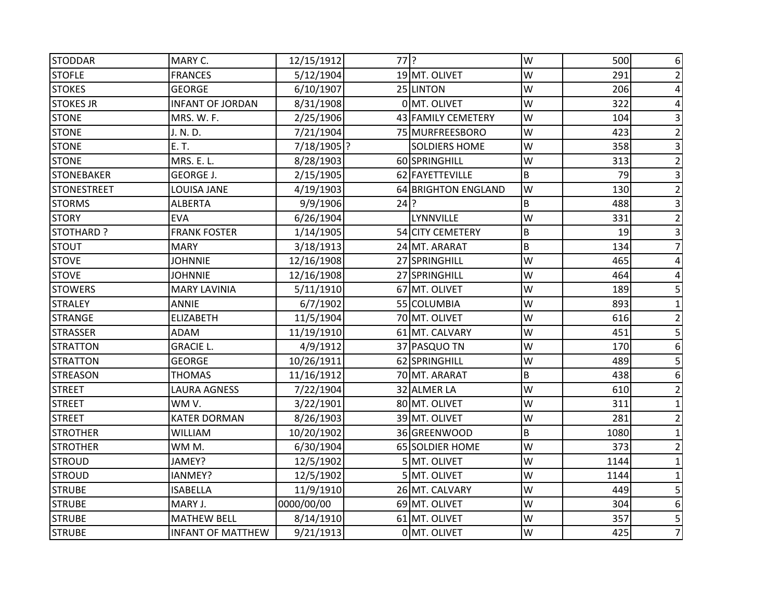| <b>STODDAR</b>     | MARY C.                  | 12/15/1912  | $77$ ? |                      | W | 500  | 6              |
|--------------------|--------------------------|-------------|--------|----------------------|---|------|----------------|
| <b>STOFLE</b>      | <b>FRANCES</b>           | 5/12/1904   |        | 19 MT. OLIVET        | W | 291  | 2              |
| <b>STOKES</b>      | <b>GEORGE</b>            | 6/10/1907   |        | 25 LINTON            | W | 206  | 4              |
| <b>STOKES JR</b>   | <b>INFANT OF JORDAN</b>  | 8/31/1908   |        | 0 MT. OLIVET         | W | 322  | 4              |
| <b>STONE</b>       | MRS. W. F.               | 2/25/1906   |        | 43 FAMILY CEMETERY   | W | 104  | 3              |
| <b>STONE</b>       | J. N. D.                 | 7/21/1904   |        | 75 MURFREESBORO      | W | 423  | $\overline{2}$ |
| <b>STONE</b>       | E. T.                    | 7/18/1905 ? |        | <b>SOLDIERS HOME</b> | W | 358  | 3              |
| <b>STONE</b>       | MRS. E. L.               | 8/28/1903   |        | 60 SPRINGHILL        | W | 313  |                |
| <b>STONEBAKER</b>  | <b>GEORGE J.</b>         | 2/15/1905   |        | 62 FAYETTEVILLE      | B | 79   | 3              |
| <b>STONESTREET</b> | LOUISA JANE              | 4/19/1903   |        | 64 BRIGHTON ENGLAND  | W | 130  |                |
| <b>STORMS</b>      | <b>ALBERTA</b>           | 9/9/1906    | $24$ ? |                      | B | 488  | 3              |
| <b>STORY</b>       | <b>EVA</b>               | 6/26/1904   |        | LYNNVILLE            | W | 331  | $\overline{2}$ |
| STOTHARD ?         | <b>FRANK FOSTER</b>      | 1/14/1905   |        | 54 CITY CEMETERY     | B | 19   |                |
| <b>STOUT</b>       | <b>MARY</b>              | 3/18/1913   |        | 24 MT. ARARAT        | B | 134  |                |
| <b>STOVE</b>       | <b>JOHNNIE</b>           | 12/16/1908  |        | 27 SPRINGHILL        | W | 465  |                |
| <b>STOVE</b>       | <b>JOHNNIE</b>           | 12/16/1908  |        | 27 SPRINGHILL        | W | 464  |                |
| <b>STOWERS</b>     | <b>MARY LAVINIA</b>      | 5/11/1910   |        | 67 MT. OLIVET        | W | 189  | 5              |
| <b>STRALEY</b>     | <b>ANNIE</b>             | 6/7/1902    |        | 55 COLUMBIA          | W | 893  |                |
| <b>STRANGE</b>     | <b>ELIZABETH</b>         | 11/5/1904   |        | 70 MT. OLIVET        | W | 616  | $\overline{2}$ |
| <b>STRASSER</b>    | ADAM                     | 11/19/1910  |        | 61 MT. CALVARY       | W | 451  | 5              |
| <b>STRATTON</b>    | <b>GRACIE L.</b>         | 4/9/1912    |        | 37 PASQUO TN         | W | 170  | 6              |
| <b>STRATTON</b>    | <b>GEORGE</b>            | 10/26/1911  |        | 62 SPRINGHILL        | W | 489  | 5              |
| <b>STREASON</b>    | <b>THOMAS</b>            | 11/16/1912  |        | 70 MT. ARARAT        | B | 438  | 6              |
| <b>STREET</b>      | LAURA AGNESS             | 7/22/1904   |        | 32 ALMER LA          | W | 610  | $\overline{2}$ |
| <b>STREET</b>      | WM V.                    | 3/22/1901   |        | 80 MT. OLIVET        | W | 311  |                |
| <b>STREET</b>      | <b>KATER DORMAN</b>      | 8/26/1903   |        | 39 MT. OLIVET        | W | 281  |                |
| <b>STROTHER</b>    | <b>WILLIAM</b>           | 10/20/1902  |        | 36 GREENWOOD         | B | 1080 |                |
| <b>STROTHER</b>    | WMM.                     | 6/30/1904   |        | 65 SOLDIER HOME      | W | 373  | $\overline{2}$ |
| <b>STROUD</b>      | JAMEY?                   | 12/5/1902   |        | 5 MT. OLIVET         | W | 1144 |                |
| <b>STROUD</b>      | IANMEY?                  | 12/5/1902   |        | 5 MT. OLIVET         | W | 1144 |                |
| <b>STRUBE</b>      | <b>ISABELLA</b>          | 11/9/1910   |        | 26 MT. CALVARY       | W | 449  | 5              |
| <b>STRUBE</b>      | MARY J.                  | 0000/00/00  |        | 69 MT. OLIVET        | W | 304  | 6              |
| <b>STRUBE</b>      | <b>MATHEW BELL</b>       | 8/14/1910   |        | 61 MT. OLIVET        | W | 357  | 5              |
| <b>STRUBE</b>      | <b>INFANT OF MATTHEW</b> | 9/21/1913   |        | 0 MT. OLIVET         | W | 425  | $\overline{7}$ |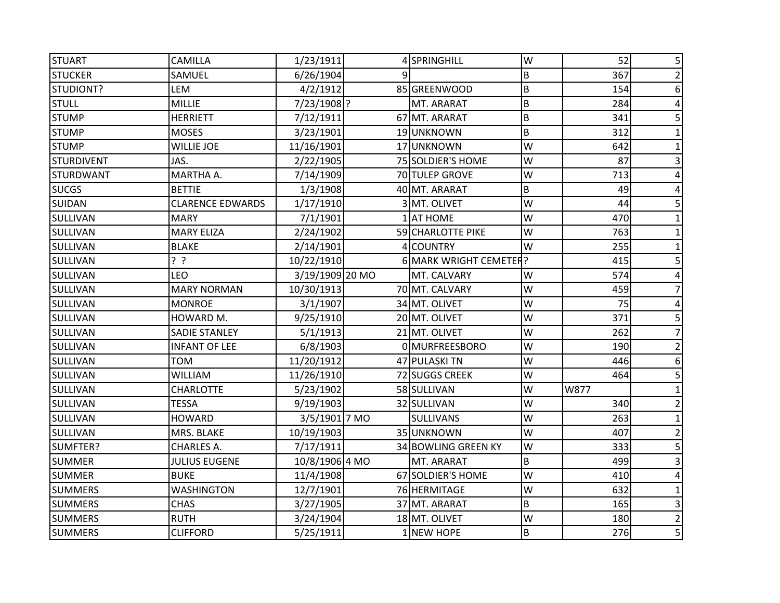| <b>STUART</b>     | <b>CAMILLA</b>          | 1/23/1911       |   | 4 SPRINGHILL           | W       | 52   | 5              |
|-------------------|-------------------------|-----------------|---|------------------------|---------|------|----------------|
| <b>STUCKER</b>    | SAMUEL                  | 6/26/1904       | q |                        | B       | 367  | 2              |
| STUDIONT?         | LEM                     | 4/2/1912        |   | 85 GREENWOOD           | $\sf B$ | 154  | 6              |
| <b>STULL</b>      | <b>MILLIE</b>           | 7/23/1908 ?     |   | MT. ARARAT             | $\sf B$ | 284  | 4              |
| <b>STUMP</b>      | <b>HERRIETT</b>         | 7/12/1911       |   | 67 MT. ARARAT          | $\sf B$ | 341  | 5              |
| <b>STUMP</b>      | <b>MOSES</b>            | 3/23/1901       |   | 19 UNKNOWN             | $\sf B$ | 312  |                |
| <b>STUMP</b>      | <b>WILLIE JOE</b>       | 11/16/1901      |   | 17 UNKNOWN             | W       | 642  |                |
| <b>STURDIVENT</b> | JAS.                    | 2/22/1905       |   | 75 SOLDIER'S HOME      | W       | 87   |                |
| <b>STURDWANT</b>  | MARTHA A.               | 7/14/1909       |   | 70 TULEP GROVE         | W       | 713  |                |
| <b>SUCGS</b>      | <b>BETTIE</b>           | 1/3/1908        |   | 40 MT. ARARAT          | $\sf B$ | 49   |                |
| <b>SUIDAN</b>     | <b>CLARENCE EDWARDS</b> | 1/17/1910       |   | 3 MT. OLIVET           | W       | 44   |                |
| SULLIVAN          | <b>MARY</b>             | 7/1/1901        |   | 1 AT HOME              | W       | 470  |                |
| SULLIVAN          | <b>MARY ELIZA</b>       | 2/24/1902       |   | 59 CHARLOTTE PIKE      | W       | 763  |                |
| SULLIVAN          | <b>BLAKE</b>            | 2/14/1901       |   | 4 COUNTRY              | W       | 255  |                |
| SULLIVAN          | ? ?                     | 10/22/1910      |   | 6 MARK WRIGHT CEMETER? |         | 415  |                |
| SULLIVAN          | LEO                     | 3/19/1909 20 MO |   | MT. CALVARY            | W       | 574  |                |
| SULLIVAN          | <b>MARY NORMAN</b>      | 10/30/1913      |   | 70 MT. CALVARY         | W       | 459  |                |
| SULLIVAN          | <b>MONROE</b>           | 3/1/1907        |   | 34 MT. OLIVET          | W       | 75   |                |
| SULLIVAN          | HOWARD M.               | 9/25/1910       |   | 20 MT. OLIVET          | W       | 371  | 5              |
| SULLIVAN          | <b>SADIE STANLEY</b>    | 5/1/1913        |   | 21 MT. OLIVET          | W       | 262  |                |
| SULLIVAN          | <b>INFANT OF LEE</b>    | 6/8/1903        |   | 0 MURFREESBORO         | W       | 190  | 2              |
| SULLIVAN          | <b>TOM</b>              | 11/20/1912      |   | 47 PULASKI TN          | W       | 446  | 6              |
| SULLIVAN          | <b>WILLIAM</b>          | 11/26/1910      |   | 72 SUGGS CREEK         | W       | 464  | 5              |
| SULLIVAN          | <b>CHARLOTTE</b>        | 5/23/1902       |   | 58 SULLIVAN            | W       | W877 |                |
| <b>SULLIVAN</b>   | <b>TESSA</b>            | 9/19/1903       |   | 32 SULLIVAN            | W       | 340  |                |
| SULLIVAN          | <b>HOWARD</b>           | 3/5/1901 7 MO   |   | <b>SULLIVANS</b>       | W       | 263  |                |
| SULLIVAN          | MRS. BLAKE              | 10/19/1903      |   | 35 UNKNOWN             | W       | 407  | 2              |
| SUMFTER?          | <b>CHARLES A.</b>       | 7/17/1911       |   | 34 BOWLING GREEN KY    | W       | 333  | 5              |
| <b>SUMMER</b>     | <b>JULIUS EUGENE</b>    | 10/8/1906 4 MO  |   | MT. ARARAT             | $\sf B$ | 499  |                |
| <b>SUMMER</b>     | <b>BUKE</b>             | 11/4/1908       |   | 67 SOLDIER'S HOME      | W       | 410  |                |
| <b>SUMMERS</b>    | <b>WASHINGTON</b>       | 12/7/1901       |   | 76 HERMITAGE           | W       | 632  |                |
| <b>SUMMERS</b>    | <b>CHAS</b>             | 3/27/1905       |   | 37 MT. ARARAT          | $\sf B$ | 165  | 3              |
| <b>SUMMERS</b>    | <b>RUTH</b>             | 3/24/1904       |   | 18 MT. OLIVET          | W       | 180  | $\overline{2}$ |
| <b>SUMMERS</b>    | <b>CLIFFORD</b>         | 5/25/1911       |   | 1 NEW HOPE             | B       | 276  | 5              |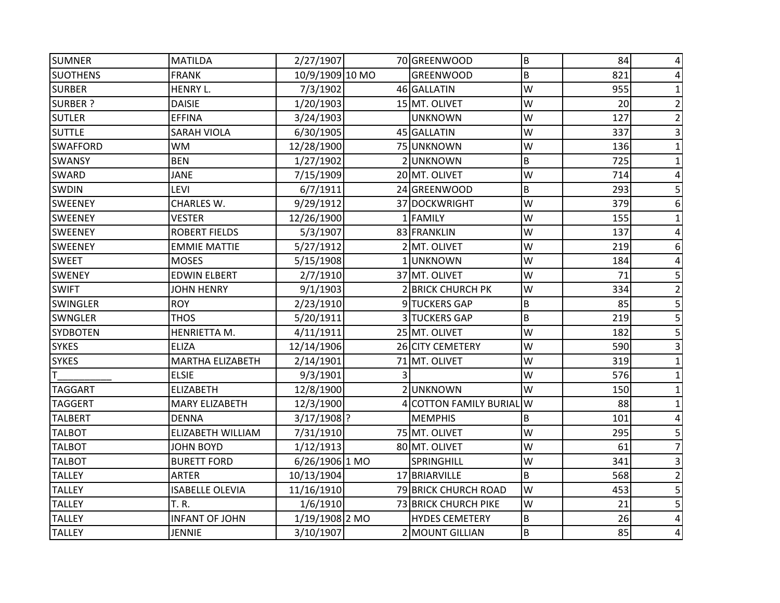| <b>SUMNER</b>   | <b>MATILDA</b>          | 2/27/1907       | 70 GREENWOOD             | B | 84  |                 |
|-----------------|-------------------------|-----------------|--------------------------|---|-----|-----------------|
| <b>SUOTHENS</b> | <b>FRANK</b>            | 10/9/1909 10 MO | <b>GREENWOOD</b>         | B | 821 |                 |
| <b>SURBER</b>   | HENRY L.                | 7/3/1902        | 46 GALLATIN              | W | 955 |                 |
| <b>SURBER ?</b> | <b>DAISIE</b>           | 1/20/1903       | 15 MT. OLIVET            | W | 20  |                 |
| <b>SUTLER</b>   | <b>EFFINA</b>           | 3/24/1903       | <b>UNKNOWN</b>           | W | 127 |                 |
| <b>SUTTLE</b>   | <b>SARAH VIOLA</b>      | 6/30/1905       | 45 GALLATIN              | W | 337 |                 |
| <b>SWAFFORD</b> | <b>WM</b>               | 12/28/1900      | 75 UNKNOWN               | W | 136 |                 |
| SWANSY          | <b>BEN</b>              | 1/27/1902       | 2UNKNOWN                 | B | 725 |                 |
| SWARD           | <b>JANE</b>             | 7/15/1909       | 20 MT. OLIVET            | W | 714 |                 |
| <b>SWDIN</b>    | LEVI                    | 6/7/1911        | 24 GREENWOOD             | B | 293 |                 |
| <b>SWEENEY</b>  | <b>CHARLES W.</b>       | 9/29/1912       | 37 DOCKWRIGHT            | W | 379 | 6               |
| <b>SWEENEY</b>  | <b>VESTER</b>           | 12/26/1900      | 1 FAMILY                 | W | 155 |                 |
| <b>SWEENEY</b>  | <b>ROBERT FIELDS</b>    | 5/3/1907        | 83 FRANKLIN              | W | 137 |                 |
| <b>SWEENEY</b>  | <b>EMMIE MATTIE</b>     | 5/27/1912       | 2 MT. OLIVET             | W | 219 | 6               |
| <b>SWEET</b>    | <b>MOSES</b>            | 5/15/1908       | 1UNKNOWN                 | W | 184 |                 |
| <b>SWENEY</b>   | <b>EDWIN ELBERT</b>     | 2/7/1910        | 37 MT. OLIVET            | W | 71  |                 |
| <b>SWIFT</b>    | <b>JOHN HENRY</b>       | 9/1/1903        | 2 BRICK CHURCH PK        | W | 334 |                 |
| <b>SWINGLER</b> | <b>ROY</b>              | 2/23/1910       | 9 TUCKERS GAP            | B | 85  | 5               |
| <b>SWNGLER</b>  | <b>THOS</b>             | 5/20/1911       | <b>3 TUCKERS GAP</b>     | B | 219 |                 |
| <b>SYDBOTEN</b> | HENRIETTA M.            | 4/11/1911       | 25 MT. OLIVET            | W | 182 |                 |
| <b>SYKES</b>    | <b>ELIZA</b>            | 12/14/1906      | 26 CITY CEMETERY         | W | 590 |                 |
| <b>SYKES</b>    | <b>MARTHA ELIZABETH</b> | 2/14/1901       | 71 MT. OLIVET            | W | 319 |                 |
| T               | <b>ELSIE</b>            | 9/3/1901        |                          | W | 576 |                 |
| <b>TAGGART</b>  | <b>ELIZABETH</b>        | 12/8/1900       | 2UNKNOWN                 | W | 150 |                 |
| <b>TAGGERT</b>  | <b>MARY ELIZABETH</b>   | 12/3/1900       | 4 COTTON FAMILY BURIAL W |   | 88  |                 |
| <b>TALBERT</b>  | <b>DENNA</b>            | $3/17/1908$ ?   | <b>MEMPHIS</b>           | B | 101 |                 |
| <b>TALBOT</b>   | ELIZABETH WILLIAM       | 7/31/1910       | 75 MT. OLIVET            | W | 295 |                 |
| <b>TALBOT</b>   | <b>JOHN BOYD</b>        | 1/12/1913       | 80 MT. OLIVET            | W | 61  |                 |
| <b>TALBOT</b>   | <b>BURETT FORD</b>      | 6/26/1906 1 MO  | SPRINGHILL               | W | 341 |                 |
| <b>TALLEY</b>   | <b>ARTER</b>            | 10/13/1904      | 17 BRIARVILLE            | B | 568 |                 |
| <b>TALLEY</b>   | <b>ISABELLE OLEVIA</b>  | 11/16/1910      | 79 BRICK CHURCH ROAD     | W | 453 |                 |
| <b>TALLEY</b>   | <b>T.R.</b>             | 1/6/1910        | 73 BRICK CHURCH PIKE     | W | 21  | 5               |
| <b>TALLEY</b>   | <b>INFANT OF JOHN</b>   | 1/19/1908 2 MO  | <b>HYDES CEMETERY</b>    | B | 26  |                 |
| <b>TALLEY</b>   | <b>JENNIE</b>           | 3/10/1907       | 2 MOUNT GILLIAN          | B | 85  | $\vert 4 \vert$ |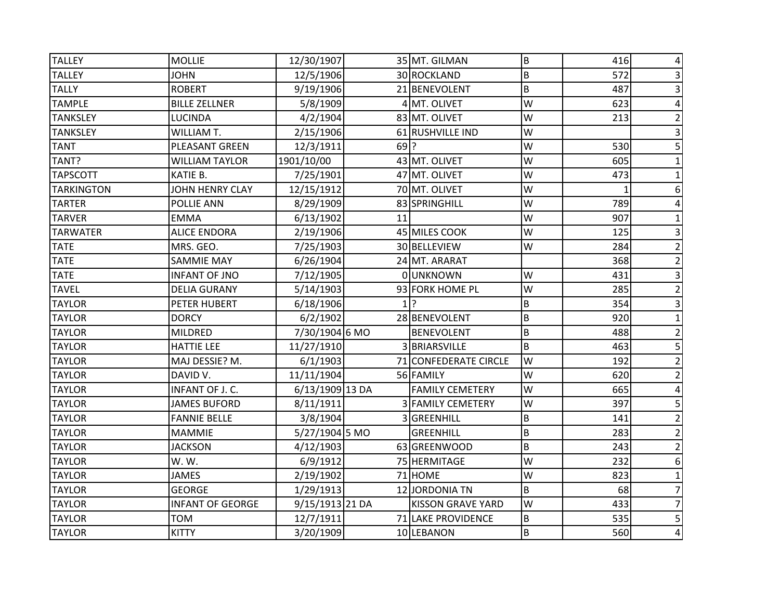| <b>TALLEY</b>     | <b>MOLLIE</b>           | 12/30/1907      |        | 35 MT. GILMAN            | B              | 416 |                 |
|-------------------|-------------------------|-----------------|--------|--------------------------|----------------|-----|-----------------|
| <b>TALLEY</b>     | <b>JOHN</b>             | 12/5/1906       |        | 30 ROCKLAND              | B              | 572 |                 |
| <b>TALLY</b>      | <b>ROBERT</b>           | 9/19/1906       |        | 21 BENEVOLENT            | B              | 487 |                 |
| <b>TAMPLE</b>     | <b>BILLE ZELLNER</b>    | 5/8/1909        |        | 4 MT. OLIVET             | W              | 623 |                 |
| <b>TANKSLEY</b>   | <b>LUCINDA</b>          | 4/2/1904        |        | 83 MT. OLIVET            | W              | 213 |                 |
| <b>TANKSLEY</b>   | <b>WILLIAM T.</b>       | 2/15/1906       |        | 61 RUSHVILLE IND         | W              |     |                 |
| <b>TANT</b>       | PLEASANT GREEN          | 12/3/1911       | $69$ ? |                          | W              | 530 | 5               |
| TANT?             | <b>WILLIAM TAYLOR</b>   | 1901/10/00      |        | 43 MT. OLIVET            | W              | 605 |                 |
| <b>TAPSCOTT</b>   | KATIE B.                | 7/25/1901       |        | 47 MT. OLIVET            | W              | 473 |                 |
| <b>TARKINGTON</b> | JOHN HENRY CLAY         | 12/15/1912      |        | 70 MT. OLIVET            | W              |     | 6               |
| <b>TARTER</b>     | POLLIE ANN              | 8/29/1909       |        | 83 SPRINGHILL            | W              | 789 |                 |
| <b>TARVER</b>     | <b>EMMA</b>             | 6/13/1902       | 11     |                          | W              | 907 |                 |
| <b>TARWATER</b>   | <b>ALICE ENDORA</b>     | 2/19/1906       |        | 45 MILES COOK            | W              | 125 |                 |
| <b>TATE</b>       | MRS. GEO.               | 7/25/1903       |        | 30 BELLEVIEW             | W              | 284 |                 |
| <b>TATE</b>       | <b>SAMMIE MAY</b>       | 6/26/1904       |        | 24 MT. ARARAT            |                | 368 |                 |
| <b>TATE</b>       | <b>INFANT OF JNO</b>    | 7/12/1905       |        | 0 UNKNOWN                | W              | 431 |                 |
| <b>TAVEL</b>      | <b>DELIA GURANY</b>     | 5/14/1903       |        | 93 FORK HOME PL          | W              | 285 | 2               |
| <b>TAYLOR</b>     | PETER HUBERT            | 6/18/1906       |        | $1$ ?                    | B              | 354 |                 |
| <b>TAYLOR</b>     | <b>DORCY</b>            | 6/2/1902        |        | 28 BENEVOLENT            | B              | 920 |                 |
| <b>TAYLOR</b>     | MILDRED                 | 7/30/1904 6 MO  |        | <b>BENEVOLENT</b>        | B              | 488 |                 |
| <b>TAYLOR</b>     | <b>HATTIE LEE</b>       | 11/27/1910      |        | 3 BRIARSVILLE            | B              | 463 |                 |
| <b>TAYLOR</b>     | MAJ DESSIE? M.          | 6/1/1903        |        | 71 CONFEDERATE CIRCLE    | W              | 192 | $\overline{2}$  |
| <b>TAYLOR</b>     | DAVID V.                | 11/11/1904      |        | 56 FAMILY                | W              | 620 | 2               |
| <b>TAYLOR</b>     | INFANT OF J. C.         | 6/13/1909 13 DA |        | <b>FAMILY CEMETERY</b>   | W              | 665 |                 |
| <b>TAYLOR</b>     | <b>JAMES BUFORD</b>     | 8/11/1911       |        | <b>3 FAMILY CEMETERY</b> | W              | 397 | 5               |
| <b>TAYLOR</b>     | <b>FANNIE BELLE</b>     | 3/8/1904        |        | 3 GREENHILL              | B              | 141 |                 |
| <b>TAYLOR</b>     | <b>MAMMIE</b>           | 5/27/1904 5 MO  |        | <b>GREENHILL</b>         | B              | 283 | $\overline{2}$  |
| <b>TAYLOR</b>     | <b>JACKSON</b>          | 4/12/1903       |        | 63 GREENWOOD             | B              | 243 | $\overline{2}$  |
| <b>TAYLOR</b>     | W.W.                    | 6/9/1912        |        | 75 HERMITAGE             | W              | 232 | 6               |
| <b>TAYLOR</b>     | <b>JAMES</b>            | 2/19/1902       |        | 71 HOME                  | W              | 823 |                 |
| <b>TAYLOR</b>     | <b>GEORGE</b>           | 1/29/1913       |        | 12 JORDONIA TN           | $\overline{B}$ | 68  |                 |
| <b>TAYLOR</b>     | <b>INFANT OF GEORGE</b> | 9/15/1913 21 DA |        | <b>KISSON GRAVE YARD</b> | W              | 433 |                 |
| <b>TAYLOR</b>     | <b>TOM</b>              | 12/7/1911       |        | 71 LAKE PROVIDENCE       | B              | 535 | 5               |
| <b>TAYLOR</b>     | <b>KITTY</b>            | 3/20/1909       |        | 10 LEBANON               | B              | 560 | $\vert 4 \vert$ |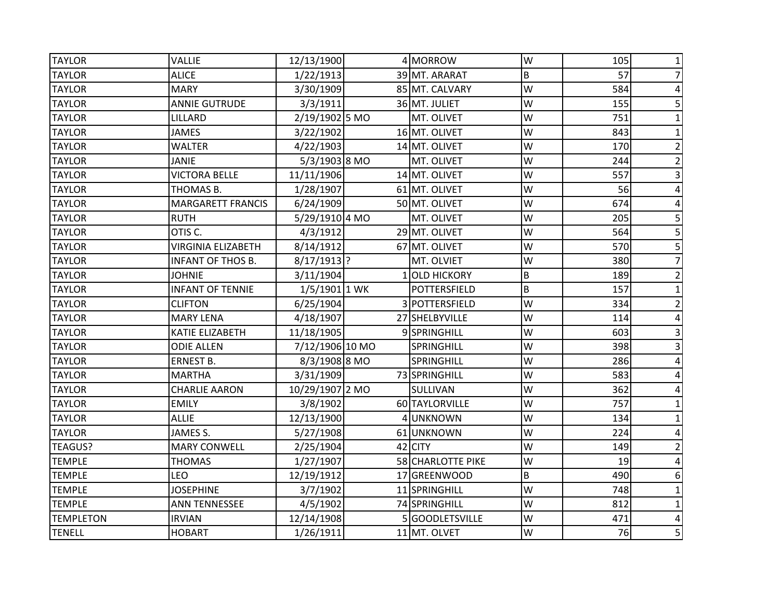| <b>TAYLOR</b>    | <b>VALLIE</b>             | 12/13/1900      | 4 MORROW          | W | 105 | 1              |
|------------------|---------------------------|-----------------|-------------------|---|-----|----------------|
| <b>TAYLOR</b>    | <b>ALICE</b>              | 1/22/1913       | 39 MT. ARARAT     | B | 57  | 7              |
| <b>TAYLOR</b>    | <b>MARY</b>               | 3/30/1909       | 85 MT. CALVARY    | W | 584 | 4              |
| <b>TAYLOR</b>    | <b>ANNIE GUTRUDE</b>      | 3/3/1911        | 36 MT. JULIET     | W | 155 | 5              |
| <b>TAYLOR</b>    | LILLARD                   | 2/19/1902 5 MO  | MT. OLIVET        | W | 751 |                |
| <b>TAYLOR</b>    | <b>JAMES</b>              | 3/22/1902       | 16 MT. OLIVET     | W | 843 | 1              |
| <b>TAYLOR</b>    | <b>WALTER</b>             | 4/22/1903       | 14 MT. OLIVET     | W | 170 | 2              |
| <b>TAYLOR</b>    | <b>JANIE</b>              | 5/3/1903 8 MO   | MT. OLIVET        | W | 244 | $\overline{2}$ |
| <b>TAYLOR</b>    | <b>VICTORA BELLE</b>      | 11/11/1906      | 14 MT. OLIVET     | W | 557 | 3              |
| <b>TAYLOR</b>    | THOMAS B.                 | 1/28/1907       | 61 MT. OLIVET     | W | 56  | 4              |
| <b>TAYLOR</b>    | <b>MARGARETT FRANCIS</b>  | 6/24/1909       | 50 MT. OLIVET     | W | 674 | 4              |
| <b>TAYLOR</b>    | <b>RUTH</b>               | 5/29/1910 4 MO  | MT. OLIVET        | W | 205 | 5              |
| <b>TAYLOR</b>    | OTIS C.                   | 4/3/1912        | 29 MT. OLIVET     | W | 564 | 5              |
| <b>TAYLOR</b>    | <b>VIRGINIA ELIZABETH</b> | 8/14/1912       | 67 MT. OLIVET     | W | 570 | 5              |
| <b>TAYLOR</b>    | <b>INFANT OF THOS B.</b>  | 8/17/1913 ?     | MT. OLVIET        | W | 380 |                |
| <b>TAYLOR</b>    | <b>JOHNIE</b>             | 3/11/1904       | 1 OLD HICKORY     | B | 189 | 2              |
| <b>TAYLOR</b>    | <b>INFANT OF TENNIE</b>   | 1/5/1901 1 WK   | POTTERSFIELD      | B | 157 | 1              |
| <b>TAYLOR</b>    | <b>CLIFTON</b>            | 6/25/1904       | 3 POTTERSFIELD    | W | 334 | $\overline{2}$ |
| <b>TAYLOR</b>    | <b>MARY LENA</b>          | 4/18/1907       | 27 SHELBYVILLE    | W | 114 |                |
| <b>TAYLOR</b>    | <b>KATIE ELIZABETH</b>    | 11/18/1905      | 9 SPRINGHILL      | W | 603 | 3              |
| <b>TAYLOR</b>    | <b>ODIE ALLEN</b>         | 7/12/1906 10 MO | SPRINGHILL        | W | 398 | 3              |
| <b>TAYLOR</b>    | <b>ERNEST B.</b>          | 8/3/1908 8 MO   | <b>SPRINGHILL</b> | W | 286 | 4              |
| <b>TAYLOR</b>    | <b>MARTHA</b>             | 3/31/1909       | 73 SPRINGHILL     | W | 583 | 4              |
| <b>TAYLOR</b>    | <b>CHARLIE AARON</b>      | 10/29/1907 2 MO | SULLIVAN          | W | 362 |                |
| <b>TAYLOR</b>    | <b>EMILY</b>              | 3/8/1902        | 60 TAYLORVILLE    | W | 757 |                |
| <b>TAYLOR</b>    | <b>ALLIE</b>              | 12/13/1900      | 4 UNKNOWN         | W | 134 |                |
| <b>TAYLOR</b>    | JAMES S.                  | 5/27/1908       | 61 UNKNOWN        | W | 224 |                |
| <b>TEAGUS?</b>   | <b>MARY CONWELL</b>       | 2/25/1904       | 42 CITY           | W | 149 | 2              |
| <b>TEMPLE</b>    | <b>THOMAS</b>             | 1/27/1907       | 58 CHARLOTTE PIKE | W | 19  | 4              |
| <b>TEMPLE</b>    | <b>LEO</b>                | 12/19/1912      | 17 GREENWOOD      | B | 490 | 6              |
| <b>TEMPLE</b>    | <b>JOSEPHINE</b>          | 3/7/1902        | 11 SPRINGHILL     | W | 748 | 1              |
| <b>TEMPLE</b>    | <b>ANN TENNESSEE</b>      | 4/5/1902        | 74 SPRINGHILL     | W | 812 | 1              |
| <b>TEMPLETON</b> | <b>IRVIAN</b>             | 12/14/1908      | 5 GOODLETSVILLE   | W | 471 | 4              |
| <b>TENELL</b>    | <b>HOBART</b>             | 1/26/1911       | 11 MT. OLVET      | W | 76  | 5 <sup>1</sup> |
|                  |                           |                 |                   |   |     |                |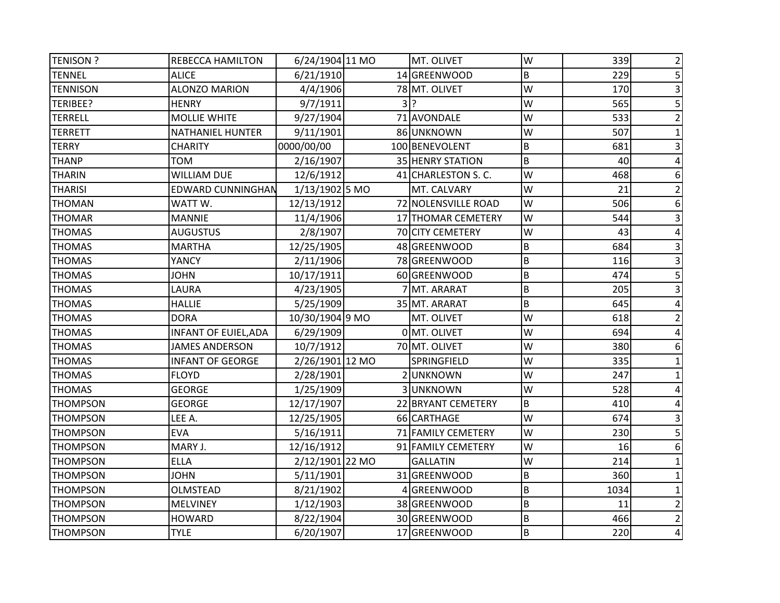| <b>TENISON?</b> | REBECCA HAMILTON            | 6/24/1904 11 MO | MT. OLIVET          | W | 339  | 2               |
|-----------------|-----------------------------|-----------------|---------------------|---|------|-----------------|
| <b>TENNEL</b>   | <b>ALICE</b>                | 6/21/1910       | 14 GREENWOOD        | B | 229  | 5               |
| <b>TENNISON</b> | <b>ALONZO MARION</b>        | 4/4/1906        | 78 MT. OLIVET       | W | 170  |                 |
| TERIBEE?        | <b>HENRY</b>                | 9/7/1911        | $3$ ?               | W | 565  |                 |
| <b>TERRELL</b>  | <b>MOLLIE WHITE</b>         | 9/27/1904       | 71 AVONDALE         | W | 533  |                 |
| <b>TERRETT</b>  | <b>NATHANIEL HUNTER</b>     | 9/11/1901       | 86 UNKNOWN          | W | 507  |                 |
| <b>TERRY</b>    | <b>CHARITY</b>              | 0000/00/00      | 100 BENEVOLENT      | B | 681  |                 |
| <b>THANP</b>    | <b>TOM</b>                  | 2/16/1907       | 35 HENRY STATION    | B | 40   |                 |
| <b>THARIN</b>   | <b>WILLIAM DUE</b>          | 12/6/1912       | 41 CHARLESTON S. C. | W | 468  | 6               |
| <b>THARISI</b>  | <b>EDWARD CUNNINGHAN</b>    | 1/13/1902 5 MO  | MT. CALVARY         | W | 21   |                 |
| <b>THOMAN</b>   | WATT W.                     | 12/13/1912      | 72 NOLENSVILLE ROAD | W | 506  | 6               |
| <b>THOMAR</b>   | <b>MANNIE</b>               | 11/4/1906       | 17 THOMAR CEMETERY  | W | 544  |                 |
| <b>THOMAS</b>   | <b>AUGUSTUS</b>             | 2/8/1907        | 70 CITY CEMETERY    | W | 43   | 4               |
| <b>THOMAS</b>   | <b>MARTHA</b>               | 12/25/1905      | 48 GREENWOOD        | B | 684  |                 |
| <b>THOMAS</b>   | YANCY                       | 2/11/1906       | 78 GREENWOOD        | B | 116  |                 |
| <b>THOMAS</b>   | <b>JOHN</b>                 | 10/17/1911      | 60 GREENWOOD        | B | 474  |                 |
| <b>THOMAS</b>   | LAURA                       | 4/23/1905       | 7 MT. ARARAT        | B | 205  |                 |
| <b>THOMAS</b>   | <b>HALLIE</b>               | 5/25/1909       | 35 MT. ARARAT       | B | 645  |                 |
| <b>THOMAS</b>   | <b>DORA</b>                 | 10/30/1904 9 MO | MT. OLIVET          | W | 618  |                 |
| <b>THOMAS</b>   | <b>INFANT OF EUIEL, ADA</b> | 6/29/1909       | 0 MT. OLIVET        | W | 694  |                 |
| <b>THOMAS</b>   | <b>JAMES ANDERSON</b>       | 10/7/1912       | 70 MT. OLIVET       | W | 380  |                 |
| <b>THOMAS</b>   | <b>INFANT OF GEORGE</b>     | 2/26/1901 12 MO | SPRINGFIELD         | W | 335  |                 |
| <b>THOMAS</b>   | <b>FLOYD</b>                | 2/28/1901       | 2UNKNOWN            | W | 247  |                 |
| <b>THOMAS</b>   | <b>GEORGE</b>               | 1/25/1909       | 3UNKNOWN            | W | 528  |                 |
| <b>THOMPSON</b> | <b>GEORGE</b>               | 12/17/1907      | 22 BRYANT CEMETERY  | B | 410  |                 |
| <b>THOMPSON</b> | LEE A.                      | 12/25/1905      | 66 CARTHAGE         | W | 674  |                 |
| <b>THOMPSON</b> | <b>EVA</b>                  | 5/16/1911       | 71 FAMILY CEMETERY  | W | 230  |                 |
| <b>THOMPSON</b> | MARY J.                     | 12/16/1912      | 91 FAMILY CEMETERY  | W | 16   | 6               |
| <b>THOMPSON</b> | <b>ELLA</b>                 | 2/12/1901 22 MO | <b>GALLATIN</b>     | W | 214  |                 |
| <b>THOMPSON</b> | <b>JOHN</b>                 | 5/11/1901       | 31 GREENWOOD        | B | 360  |                 |
| <b>THOMPSON</b> | OLMSTEAD                    | 8/21/1902       | 4 GREENWOOD         | B | 1034 |                 |
| <b>THOMPSON</b> | <b>MELVINEY</b>             | 1/12/1903       | 38 GREENWOOD        | B | 11   |                 |
| <b>THOMPSON</b> | <b>HOWARD</b>               | 8/22/1904       | 30 GREENWOOD        | B | 466  | 2               |
| <b>THOMPSON</b> | <b>TYLE</b>                 | 6/20/1907       | 17 GREENWOOD        | B | 220  | $\vert 4 \vert$ |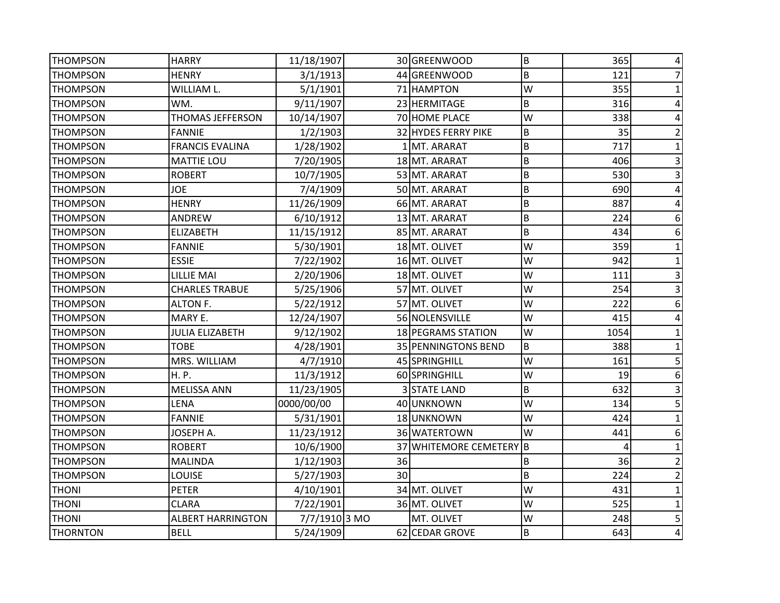| <b>THOMPSON</b> | <b>HARRY</b>             | 11/18/1907    |    | 30 GREENWOOD            | B       | 365  | 4 |
|-----------------|--------------------------|---------------|----|-------------------------|---------|------|---|
| <b>THOMPSON</b> | <b>HENRY</b>             | 3/1/1913      |    | 44 GREENWOOD            | B       | 121  |   |
| <b>THOMPSON</b> | WILLIAM L.               | 5/1/1901      |    | 71 HAMPTON              | W       | 355  |   |
| <b>THOMPSON</b> | WM.                      | 9/11/1907     |    | 23 HERMITAGE            | B       | 316  | 4 |
| <b>THOMPSON</b> | <b>THOMAS JEFFERSON</b>  | 10/14/1907    |    | 70 HOME PLACE           | W       | 338  |   |
| <b>THOMPSON</b> | <b>FANNIE</b>            | 1/2/1903      |    | 32 HYDES FERRY PIKE     | B       | 35   |   |
| <b>THOMPSON</b> | <b>FRANCIS EVALINA</b>   | 1/28/1902     |    | 1 MT. ARARAT            | B       | 717  | 1 |
| <b>THOMPSON</b> | <b>MATTIE LOU</b>        | 7/20/1905     |    | 18 MT. ARARAT           | B       | 406  | 3 |
| <b>THOMPSON</b> | <b>ROBERT</b>            | 10/7/1905     |    | 53 MT. ARARAT           | B       | 530  | 3 |
| <b>THOMPSON</b> | <b>JOE</b>               | 7/4/1909      |    | 50 MT. ARARAT           | B       | 690  |   |
| <b>THOMPSON</b> | <b>HENRY</b>             | 11/26/1909    |    | 66 MT. ARARAT           | $\sf B$ | 887  |   |
| <b>THOMPSON</b> | <b>ANDREW</b>            | 6/10/1912     |    | 13 MT. ARARAT           | B       | 224  | 6 |
| <b>THOMPSON</b> | <b>ELIZABETH</b>         | 11/15/1912    |    | 85 MT. ARARAT           | B       | 434  | 6 |
| <b>THOMPSON</b> | <b>FANNIE</b>            | 5/30/1901     |    | 18 MT. OLIVET           | W       | 359  |   |
| <b>THOMPSON</b> | <b>ESSIE</b>             | 7/22/1902     |    | 16 MT. OLIVET           | W       | 942  |   |
| <b>THOMPSON</b> | <b>LILLIE MAI</b>        | 2/20/1906     |    | 18 MT. OLIVET           | W       | 111  |   |
| <b>THOMPSON</b> | <b>CHARLES TRABUE</b>    | 5/25/1906     |    | 57 MT. OLIVET           | W       | 254  | 3 |
| <b>THOMPSON</b> | <b>ALTON F.</b>          | 5/22/1912     |    | 57 MT. OLIVET           | W       | 222  | 6 |
| <b>THOMPSON</b> | MARY E.                  | 12/24/1907    |    | 56 NOLENSVILLE          | W       | 415  |   |
| <b>THOMPSON</b> | <b>JULIA ELIZABETH</b>   | 9/12/1902     |    | 18 PEGRAMS STATION      | W       | 1054 |   |
| <b>THOMPSON</b> | <b>TOBE</b>              | 4/28/1901     |    | 35 PENNINGTONS BEND     | B       | 388  |   |
| <b>THOMPSON</b> | MRS. WILLIAM             | 4/7/1910      |    | 45 SPRINGHILL           | W       | 161  | 5 |
| <b>THOMPSON</b> | H. P.                    | 11/3/1912     |    | 60 SPRINGHILL           | W       | 19   | 6 |
| <b>THOMPSON</b> | <b>MELISSA ANN</b>       | 11/23/1905    |    | <b>3 STATE LAND</b>     | B       | 632  |   |
| <b>THOMPSON</b> | LENA                     | 0000/00/00    |    | 40 UNKNOWN              | W       | 134  | 5 |
| <b>THOMPSON</b> | <b>FANNIE</b>            | 5/31/1901     |    | 18 UNKNOWN              | W       | 424  |   |
| <b>THOMPSON</b> | JOSEPH A.                | 11/23/1912    |    | 36 WATERTOWN            | W       | 441  | 6 |
| <b>THOMPSON</b> | <b>ROBERT</b>            | 10/6/1900     |    | 37 WHITEMORE CEMETERY B |         |      |   |
| <b>THOMPSON</b> | <b>MALINDA</b>           | 1/12/1903     | 36 |                         | B       | 36   | 2 |
| <b>THOMPSON</b> | <b>LOUISE</b>            | 5/27/1903     | 30 |                         | B       | 224  |   |
| <b>THONI</b>    | <b>PETER</b>             | 4/10/1901     |    | 34 MT. OLIVET           | W       | 431  |   |
| <b>THONI</b>    | <b>CLARA</b>             | 7/22/1901     |    | 36 MT. OLIVET           | W       | 525  | 1 |
| <b>THONI</b>    | <b>ALBERT HARRINGTON</b> | 7/7/1910 3 MO |    | MT. OLIVET              | W       | 248  | 5 |
| <b>THORNTON</b> | <b>BELL</b>              | 5/24/1909     |    | 62 CEDAR GROVE          | B       | 643  | 4 |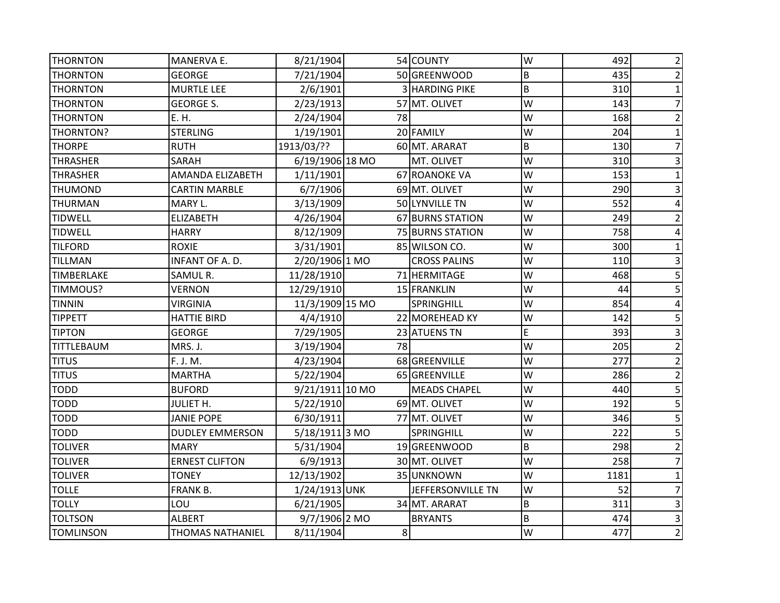| <b>THORNTON</b>   | MANERVA E.              | 8/21/1904       |    | 54 COUNTY             | lw      | 492  | 2                       |
|-------------------|-------------------------|-----------------|----|-----------------------|---------|------|-------------------------|
| <b>THORNTON</b>   | <b>GEORGE</b>           | 7/21/1904       |    | 50 GREENWOOD          | B       | 435  | 2                       |
| <b>THORNTON</b>   | <b>MURTLE LEE</b>       | 2/6/1901        |    | <b>3 HARDING PIKE</b> | $\sf B$ | 310  |                         |
| <b>THORNTON</b>   | <b>GEORGE S.</b>        | 2/23/1913       |    | 57 MT. OLIVET         | W       | 143  | 7                       |
| <b>THORNTON</b>   | E. H.                   | 2/24/1904       | 78 |                       | W       | 168  |                         |
| THORNTON?         | <b>STERLING</b>         | 1/19/1901       |    | 20 FAMILY             | W       | 204  |                         |
| <b>THORPE</b>     | <b>RUTH</b>             | 1913/03/??      |    | 60 MT. ARARAT         | B       | 130  | 7                       |
| <b>THRASHER</b>   | SARAH                   | 6/19/1906 18 MO |    | MT. OLIVET            | W       | 310  |                         |
| <b>THRASHER</b>   | AMANDA ELIZABETH        | 1/11/1901       |    | 67 ROANOKE VA         | W       | 153  |                         |
| <b>THUMOND</b>    | <b>CARTIN MARBLE</b>    | 6/7/1906        |    | 69 MT. OLIVET         | W       | 290  |                         |
| <b>THURMAN</b>    | MARY L.                 | 3/13/1909       |    | 50 LYNVILLE TN        | W       | 552  | 4                       |
| <b>TIDWELL</b>    | <b>ELIZABETH</b>        | 4/26/1904       |    | 67 BURNS STATION      | W       | 249  | $\overline{2}$          |
| <b>TIDWELL</b>    | <b>HARRY</b>            | 8/12/1909       |    | 75 BURNS STATION      | W       | 758  | 4                       |
| <b>TILFORD</b>    | <b>ROXIE</b>            | 3/31/1901       |    | 85 WILSON CO.         | W       | 300  |                         |
| <b>TILLMAN</b>    | INFANT OF A. D.         | 2/20/1906 1 MO  |    | <b>CROSS PALINS</b>   | W       | 110  |                         |
| <b>TIMBERLAKE</b> | SAMUL R.                | 11/28/1910      |    | 71 HERMITAGE          | W       | 468  | 5                       |
| TIMMOUS?          | <b>VERNON</b>           | 12/29/1910      |    | 15 FRANKLIN           | W       | 44   | 5                       |
| <b>TINNIN</b>     | <b>VIRGINIA</b>         | 11/3/1909 15 MO |    | <b>SPRINGHILL</b>     | W       | 854  | 4                       |
| <b>TIPPETT</b>    | <b>HATTIE BIRD</b>      | 4/4/1910        |    | 22 MOREHEAD KY        | W       | 142  | 5                       |
| <b>TIPTON</b>     | <b>GEORGE</b>           | 7/29/1905       |    | 23 ATUENS TN          | E       | 393  | 3                       |
| <b>TITTLEBAUM</b> | MRS. J.                 | 3/19/1904       | 78 |                       | W       | 205  | $\overline{2}$          |
| <b>TITUS</b>      | F. J. M.                | 4/23/1904       |    | 68 GREENVILLE         | W       | 277  | $\overline{2}$          |
| <b>TITUS</b>      | <b>MARTHA</b>           | 5/22/1904       |    | 65 GREENVILLE         | W       | 286  | $\overline{2}$          |
| <b>TODD</b>       | <b>BUFORD</b>           | 9/21/1911 10 MO |    | <b>MEADS CHAPEL</b>   | W       | 440  | 5                       |
| <b>TODD</b>       | JULIET H.               | 5/22/1910       |    | 69 MT. OLIVET         | W       | 192  | 5                       |
| <b>TODD</b>       | <b>JANIE POPE</b>       | 6/30/1911       |    | 77 MT. OLIVET         | W       | 346  | 5                       |
| <b>TODD</b>       | <b>DUDLEY EMMERSON</b>  | 5/18/1911 3 MO  |    | SPRINGHILL            | W       | 222  | 5                       |
| <b>TOLIVER</b>    | <b>MARY</b>             | 5/31/1904       |    | 19 GREENWOOD          | $\sf B$ | 298  | $\overline{2}$          |
| <b>TOLIVER</b>    | <b>ERNEST CLIFTON</b>   | 6/9/1913        |    | 30 MT. OLIVET         | W       | 258  |                         |
| <b>TOLIVER</b>    | <b>TONEY</b>            | 12/13/1902      |    | 35 UNKNOWN            | W       | 1181 |                         |
| <b>TOLLE</b>      | FRANK B.                | 1/24/1913 UNK   |    | JEFFERSONVILLE TN     | W       | 52   | 7                       |
| <b>TOLLY</b>      | LOU                     | 6/21/1905       |    | 34 MT. ARARAT         | $\sf B$ | 311  | 3                       |
| <b>TOLTSON</b>    | <b>ALBERT</b>           | 9/7/1906 2 MO   |    | <b>BRYANTS</b>        | B       | 474  | $\mathsf 3$             |
| <b>TOMLINSON</b>  | <b>THOMAS NATHANIEL</b> | 8/11/1904       | 8  |                       | lw      | 477  | $\overline{\mathbf{c}}$ |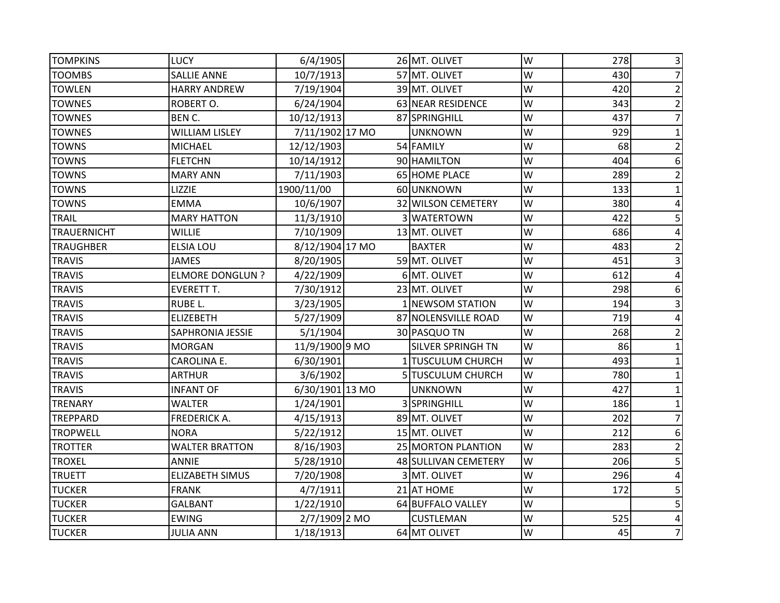| <b>TOMPKINS</b>    | <b>LUCY</b>             | 6/4/1905        | 26 MT. OLIVET            | W | 278 | $\overline{3}$           |
|--------------------|-------------------------|-----------------|--------------------------|---|-----|--------------------------|
| <b>TOOMBS</b>      | <b>SALLIE ANNE</b>      | 10/7/1913       | 57 MT. OLIVET            | W | 430 | $\overline{7}$           |
| <b>TOWLEN</b>      | <b>HARRY ANDREW</b>     | 7/19/1904       | 39 MT. OLIVET            | W | 420 | $\overline{2}$           |
| <b>TOWNES</b>      | ROBERT O.               | 6/24/1904       | 63 NEAR RESIDENCE        | W | 343 | $\overline{2}$           |
| <b>TOWNES</b>      | BEN C.                  | 10/12/1913      | 87 SPRINGHILL            | W | 437 |                          |
| <b>TOWNES</b>      | <b>WILLIAM LISLEY</b>   | 7/11/1902 17 MO | <b>UNKNOWN</b>           | W | 929 |                          |
| <b>TOWNS</b>       | <b>MICHAEL</b>          | 12/12/1903      | 54 FAMILY                | W | 68  | $\mathbf 2$              |
| <b>TOWNS</b>       | <b>FLETCHN</b>          | 10/14/1912      | 90 HAMILTON              | W | 404 | 6                        |
| <b>TOWNS</b>       | <b>MARY ANN</b>         | 7/11/1903       | <b>65 HOME PLACE</b>     | W | 289 | $\overline{2}$           |
| <b>TOWNS</b>       | LIZZIE                  | 1900/11/00      | 60 UNKNOWN               | W | 133 | $\mathbf{1}$             |
| <b>TOWNS</b>       | <b>EMMA</b>             | 10/6/1907       | 32 WILSON CEMETERY       | W | 380 | 4                        |
| <b>TRAIL</b>       | <b>MARY HATTON</b>      | 11/3/1910       | 3 WATERTOWN              | W | 422 | 5                        |
| <b>TRAUERNICHT</b> | <b>WILLIE</b>           | 7/10/1909       | 13 MT. OLIVET            | W | 686 | 4                        |
| <b>TRAUGHBER</b>   | <b>ELSIA LOU</b>        | 8/12/1904 17 MO | <b>BAXTER</b>            | W | 483 | $\overline{2}$           |
| <b>TRAVIS</b>      | <b>JAMES</b>            | 8/20/1905       | 59 MT. OLIVET            | W | 451 | 3                        |
| <b>TRAVIS</b>      | <b>ELMORE DONGLUN ?</b> | 4/22/1909       | 6 MT. OLIVET             | W | 612 | 4                        |
| <b>TRAVIS</b>      | <b>EVERETT T.</b>       | 7/30/1912       | 23 MT. OLIVET            | W | 298 | 6                        |
| <b>TRAVIS</b>      | RUBE L.                 | 3/23/1905       | 1 NEWSOM STATION         | W | 194 | 3                        |
| <b>TRAVIS</b>      | <b>ELIZEBETH</b>        | 5/27/1909       | 87 NOLENSVILLE ROAD      | W | 719 | 4                        |
| <b>TRAVIS</b>      | <b>SAPHRONIA JESSIE</b> | 5/1/1904        | 30 PASQUO TN             | W | 268 | $\overline{2}$           |
| <b>TRAVIS</b>      | <b>MORGAN</b>           | 11/9/1900 9 MO  | <b>SILVER SPRINGH TN</b> | W | 86  | 1                        |
| <b>TRAVIS</b>      | <b>CAROLINA E.</b>      | 6/30/1901       | 1 TUSCULUM CHURCH        | W | 493 |                          |
| <b>TRAVIS</b>      | <b>ARTHUR</b>           | 3/6/1902        | 5 TUSCULUM CHURCH        | W | 780 |                          |
| <b>TRAVIS</b>      | <b>INFANT OF</b>        | 6/30/1901 13 MO | <b>UNKNOWN</b>           | W | 427 |                          |
| <b>TRENARY</b>     | <b>WALTER</b>           | 1/24/1901       | 3 SPRINGHILL             | W | 186 |                          |
| <b>TREPPARD</b>    | FREDERICK A.            | 4/15/1913       | 89 MT. OLIVET            | W | 202 |                          |
| <b>TROPWELL</b>    | <b>NORA</b>             | 5/22/1912       | 15 MT. OLIVET            | W | 212 | 6                        |
| <b>TROTTER</b>     | <b>WALTER BRATTON</b>   | 8/16/1903       | 25 MORTON PLANTION       | W | 283 | $\overline{2}$           |
| <b>TROXEL</b>      | <b>ANNIE</b>            | 5/28/1910       | 48 SULLIVAN CEMETERY     | W | 206 | 5                        |
| <b>TRUETT</b>      | <b>ELIZABETH SIMUS</b>  | 7/20/1908       | 3 MT. OLIVET             | W | 296 | 4                        |
| <b>TUCKER</b>      | <b>FRANK</b>            | 4/7/1911        | 21 AT HOME               | W | 172 | 5                        |
| <b>TUCKER</b>      | <b>GALBANT</b>          | 1/22/1910       | 64 BUFFALO VALLEY        | W |     | 5                        |
| <b>TUCKER</b>      | <b>EWING</b>            | 2/7/1909 2 MO   | <b>CUSTLEMAN</b>         | W | 525 | 4                        |
| <b>TUCKER</b>      | <b>JULIA ANN</b>        | 1/18/1913       | 64 MT OLIVET             | W | 45  | $\overline{\mathcal{I}}$ |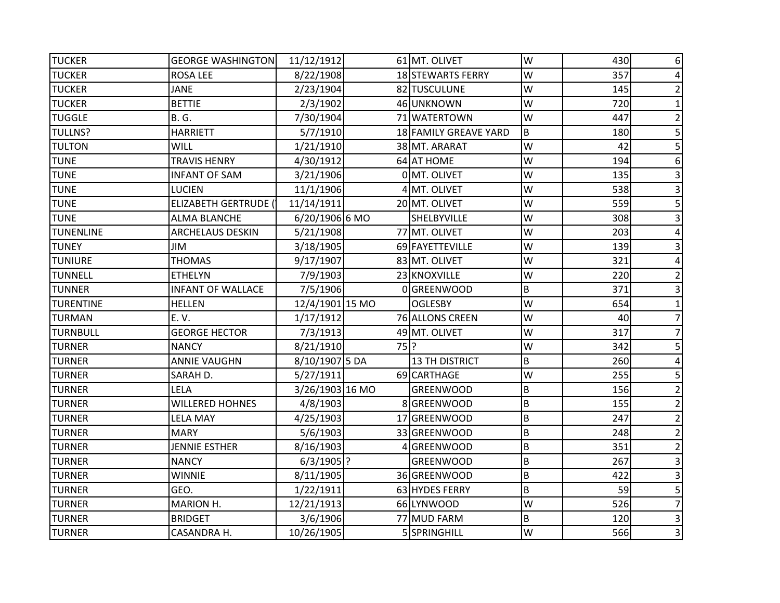| <b>TUCKER</b>    | <b>GEORGE WASHINGTON</b>    | 11/12/1912      |        | 61 MT. OLIVET         | W       | 430 | 6              |
|------------------|-----------------------------|-----------------|--------|-----------------------|---------|-----|----------------|
| <b>TUCKER</b>    | <b>ROSA LEE</b>             | 8/22/1908       |        | 18 STEWARTS FERRY     | W       | 357 |                |
| <b>TUCKER</b>    | <b>JANE</b>                 | 2/23/1904       |        | 82 TUSCULUNE          | W       | 145 | 2              |
| <b>TUCKER</b>    | <b>BETTIE</b>               | 2/3/1902        |        | 46 UNKNOWN            | W       | 720 |                |
| <b>TUGGLE</b>    | <b>B. G.</b>                | 7/30/1904       |        | 71 WATERTOWN          | W       | 447 |                |
| <b>TULLNS?</b>   | <b>HARRIETT</b>             | 5/7/1910        |        | 18 FAMILY GREAVE YARD | B       | 180 | 5              |
| <b>TULTON</b>    | <b>WILL</b>                 | 1/21/1910       |        | 38 MT. ARARAT         | W       | 42  | 5              |
| <b>TUNE</b>      | <b>TRAVIS HENRY</b>         | 4/30/1912       |        | 64 AT HOME            | W       | 194 | 6              |
| <b>TUNE</b>      | <b>INFANT OF SAM</b>        | 3/21/1906       |        | 0 MT. OLIVET          | W       | 135 |                |
| <b>TUNE</b>      | <b>LUCIEN</b>               | 11/1/1906       |        | 4 MT. OLIVET          | W       | 538 | 3              |
| <b>TUNE</b>      | <b>ELIZABETH GERTRUDE (</b> | 11/14/1911      |        | 20 MT. OLIVET         | W       | 559 | 5              |
| <b>TUNE</b>      | <b>ALMA BLANCHE</b>         | 6/20/1906 6 MO  |        | SHELBYVILLE           | W       | 308 | 3              |
| <b>TUNENLINE</b> | <b>ARCHELAUS DESKIN</b>     | 5/21/1908       |        | 77 MT. OLIVET         | W       | 203 |                |
| <b>TUNEY</b>     | JIM                         | 3/18/1905       |        | 69 FAYETTEVILLE       | W       | 139 |                |
| <b>TUNIURE</b>   | <b>THOMAS</b>               | 9/17/1907       |        | 83 MT. OLIVET         | W       | 321 |                |
| <b>TUNNELL</b>   | <b>ETHELYN</b>              | 7/9/1903        |        | 23 KNOXVILLE          | W       | 220 |                |
| <b>TUNNER</b>    | <b>INFANT OF WALLACE</b>    | 7/5/1906        |        | 0 GREENWOOD           | B       | 371 |                |
| <b>TURENTINE</b> | <b>HELLEN</b>               | 12/4/1901 15 MO |        | <b>OGLESBY</b>        | W       | 654 |                |
| <b>TURMAN</b>    | E. V.                       | 1/17/1912       |        | 76 ALLONS CREEN       | W       | 40  |                |
| <b>TURNBULL</b>  | <b>GEORGE HECTOR</b>        | 7/3/1913        |        | 49 MT. OLIVET         | W       | 317 |                |
| <b>TURNER</b>    | <b>NANCY</b>                | 8/21/1910       | $75$ ? |                       | W       | 342 | 5              |
| <b>TURNER</b>    | <b>ANNIE VAUGHN</b>         | 8/10/1907 5 DA  |        | <b>13 TH DISTRICT</b> | B       | 260 | 4              |
| <b>TURNER</b>    | SARAH D.                    | 5/27/1911       |        | 69 CARTHAGE           | W       | 255 | 5              |
| <b>TURNER</b>    | <b>LELA</b>                 | 3/26/1903 16 MO |        | <b>GREENWOOD</b>      | B       | 156 | $\overline{2}$ |
| <b>TURNER</b>    | <b>WILLERED HOHNES</b>      | 4/8/1903        |        | 8 GREENWOOD           | B       | 155 |                |
| <b>TURNER</b>    | <b>LELA MAY</b>             | 4/25/1903       |        | 17 GREENWOOD          | $\sf B$ | 247 |                |
| <b>TURNER</b>    | <b>MARY</b>                 | 5/6/1903        |        | 33 GREENWOOD          | B       | 248 | 2              |
| <b>TURNER</b>    | <b>JENNIE ESTHER</b>        | 8/16/1903       |        | 4 GREENWOOD           | B       | 351 | 2              |
| <b>TURNER</b>    | <b>NANCY</b>                | $6/3/1905$ ?    |        | <b>GREENWOOD</b>      | B       | 267 |                |
| <b>TURNER</b>    | <b>WINNIE</b>               | 8/11/1905       |        | 36 GREENWOOD          | B       | 422 | 3              |
| <b>TURNER</b>    | GEO.                        | 1/22/1911       |        | 63 HYDES FERRY        | $\sf B$ | 59  | 5              |
| <b>TURNER</b>    | <b>MARION H.</b>            | 12/21/1913      |        | 66 LYNWOOD            | W       | 526 | 7              |
| <b>TURNER</b>    | <b>BRIDGET</b>              | 3/6/1906        |        | 77 MUD FARM           | B       | 120 | 3              |
| <b>TURNER</b>    | CASANDRA H.                 | 10/26/1905      |        | 5 SPRINGHILL          | W       | 566 | 3              |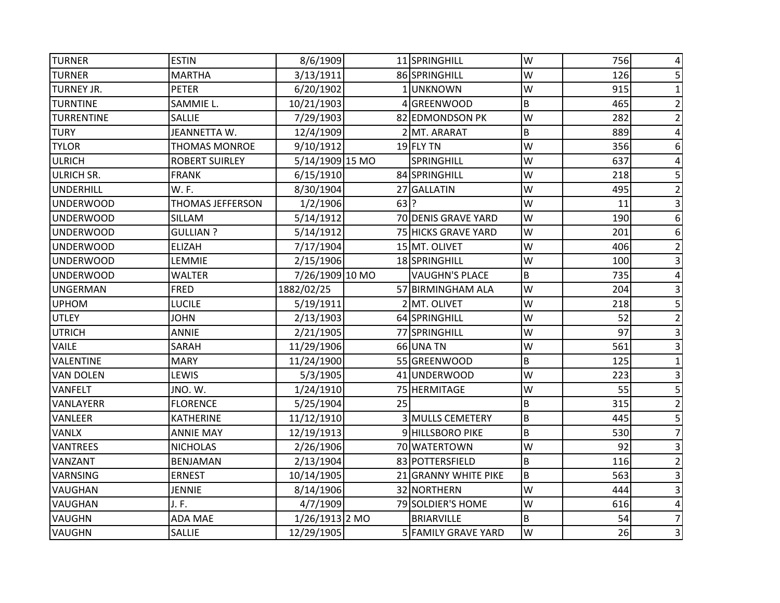| <b>TURNER</b>     | <b>ESTIN</b>            | 8/6/1909        |        | 11 SPRINGHILL         | W | 756 |   |
|-------------------|-------------------------|-----------------|--------|-----------------------|---|-----|---|
| <b>TURNER</b>     | <b>MARTHA</b>           | 3/13/1911       |        | 86 SPRINGHILL         | W | 126 |   |
| <b>TURNEY JR.</b> | <b>PETER</b>            | 6/20/1902       |        | 1UNKNOWN              | W | 915 |   |
| <b>TURNTINE</b>   | SAMMIE L.               | 10/21/1903      |        | 4 GREENWOOD           | B | 465 |   |
| <b>TURRENTINE</b> | SALLIE                  | 7/29/1903       |        | 82 EDMONDSON PK       | W | 282 |   |
| <b>TURY</b>       | JEANNETTA W.            | 12/4/1909       |        | 2 MT. ARARAT          | B | 889 |   |
| <b>TYLOR</b>      | <b>THOMAS MONROE</b>    | 9/10/1912       |        | $19$ FLY TN           | W | 356 | 6 |
| <b>ULRICH</b>     | <b>ROBERT SUIRLEY</b>   | 5/14/1909 15 MO |        | SPRINGHILL            | W | 637 |   |
| <b>ULRICH SR.</b> | <b>FRANK</b>            | 6/15/1910       |        | 84 SPRINGHILL         | W | 218 |   |
| <b>UNDERHILL</b>  | W.F.                    | 8/30/1904       |        | 27 GALLATIN           | W | 495 |   |
| <b>UNDERWOOD</b>  | <b>THOMAS JEFFERSON</b> | 1/2/1906        | $63$ ? |                       | W | 11  |   |
| <b>UNDERWOOD</b>  | <b>SILLAM</b>           | 5/14/1912       |        | 70 DENIS GRAVE YARD   | W | 190 | 6 |
| <b>UNDERWOOD</b>  | <b>GULLIAN?</b>         | 5/14/1912       |        | 75 HICKS GRAVE YARD   | W | 201 | 6 |
| UNDERWOOD         | ELIZAH                  | 7/17/1904       |        | 15 MT. OLIVET         | W | 406 |   |
| <b>UNDERWOOD</b>  | LEMMIE                  | 2/15/1906       |        | 18 SPRINGHILL         | W | 100 |   |
| <b>UNDERWOOD</b>  | WALTER                  | 7/26/1909 10 MO |        | <b>VAUGHN'S PLACE</b> | B | 735 |   |
| <b>UNGERMAN</b>   | <b>FRED</b>             | 1882/02/25      |        | 57 BIRMINGHAM ALA     | W | 204 |   |
| <b>UPHOM</b>      | <b>LUCILE</b>           | 5/19/1911       |        | 2 MT. OLIVET          | W | 218 | 5 |
| <b>UTLEY</b>      | <b>JOHN</b>             | 2/13/1903       |        | 64 SPRINGHILL         | W | 52  |   |
| <b>UTRICH</b>     | <b>ANNIE</b>            | 2/21/1905       |        | 77 SPRINGHILL         | W | 97  |   |
| <b>VAILE</b>      | SARAH                   | 11/29/1906      |        | 66 UNA TN             | W | 561 |   |
| <b>VALENTINE</b>  | <b>MARY</b>             | 11/24/1900      |        | 55 GREENWOOD          | B | 125 |   |
| <b>VAN DOLEN</b>  | LEWIS                   | 5/3/1905        |        | 41 UNDERWOOD          | W | 223 |   |
| <b>VANFELT</b>    | JNO. W.                 | 1/24/1910       |        | 75 HERMITAGE          | W | 55  | 5 |
| <b>VANLAYERR</b>  | <b>FLORENCE</b>         | 5/25/1904       | 25     |                       | B | 315 |   |
| VANLEER           | <b>KATHERINE</b>        | 11/12/1910      |        | 3 MULLS CEMETERY      | B | 445 |   |
| <b>VANLX</b>      | <b>ANNIE MAY</b>        | 12/19/1913      |        | 9 HILLSBORO PIKE      | B | 530 |   |
| <b>VANTREES</b>   | <b>NICHOLAS</b>         | 2/26/1906       |        | 70 WATERTOWN          | W | 92  |   |
| <b>VANZANT</b>    | <b>BENJAMAN</b>         | 2/13/1904       |        | 83 POTTERSFIELD       | B | 116 |   |
| <b>VARNSING</b>   | <b>ERNEST</b>           | 10/14/1905      |        | 21 GRANNY WHITE PIKE  | B | 563 |   |
| <b>VAUGHAN</b>    | <b>JENNIE</b>           | 8/14/1906       |        | 32 NORTHERN           | W | 444 |   |
| <b>VAUGHAN</b>    | J.F.                    | 4/7/1909        |        | 79 SOLDIER'S HOME     | W | 616 |   |
| <b>VAUGHN</b>     | <b>ADA MAE</b>          | 1/26/1913 2 MO  |        | <b>BRIARVILLE</b>     | B | 54  |   |
| <b>VAUGHN</b>     | SALLIE                  | 12/29/1905      |        | 5 FAMILY GRAVE YARD   | W | 26  | 3 |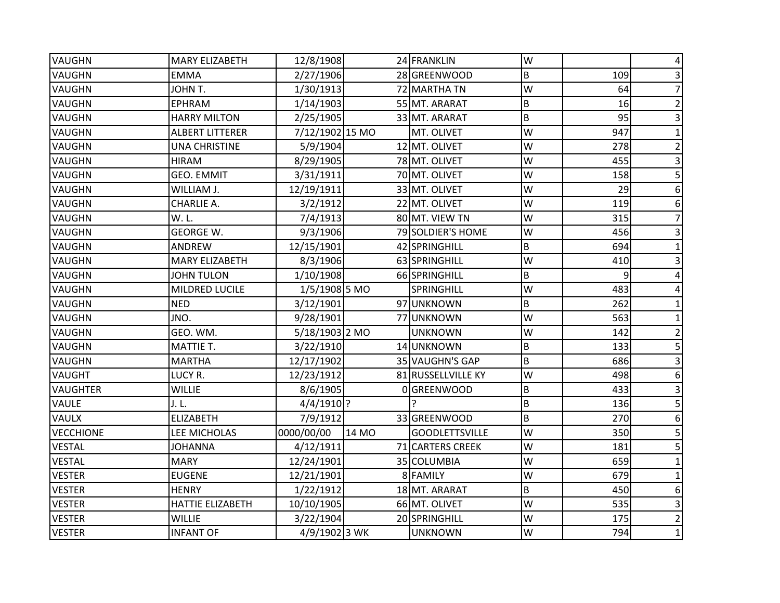| <b>VAUGHN</b>    | <b>MARY ELIZABETH</b>   | 12/8/1908       |       | 24 FRANKLIN           | W              |     |                |
|------------------|-------------------------|-----------------|-------|-----------------------|----------------|-----|----------------|
| <b>VAUGHN</b>    | <b>EMMA</b>             | 2/27/1906       |       | 28 GREENWOOD          | B              | 109 |                |
| <b>VAUGHN</b>    | JOHN T.                 | 1/30/1913       |       | 72 MARTHA TN          | W              | 64  |                |
| <b>VAUGHN</b>    | <b>EPHRAM</b>           | 1/14/1903       |       | 55 MT. ARARAT         | B              | 16  |                |
| <b>VAUGHN</b>    | <b>HARRY MILTON</b>     | 2/25/1905       |       | 33 MT. ARARAT         | $\overline{B}$ | 95  |                |
| <b>VAUGHN</b>    | <b>ALBERT LITTERER</b>  | 7/12/1902 15 MO |       | MT. OLIVET            | W              | 947 |                |
| <b>VAUGHN</b>    | <b>UNA CHRISTINE</b>    | 5/9/1904        |       | 12 MT. OLIVET         | W              | 278 | 2              |
| <b>VAUGHN</b>    | <b>HIRAM</b>            | 8/29/1905       |       | 78 MT. OLIVET         | W              | 455 |                |
| <b>VAUGHN</b>    | <b>GEO. EMMIT</b>       | 3/31/1911       |       | 70 MT. OLIVET         | W              | 158 | 5              |
| <b>VAUGHN</b>    | WILLIAM J.              | 12/19/1911      |       | 33 MT. OLIVET         | W              | 29  | 6              |
| <b>VAUGHN</b>    | CHARLIE A.              | 3/2/1912        |       | 22 MT. OLIVET         | W              | 119 | 6              |
| VAUGHN           | W.L.                    | 7/4/1913        |       | 80 MT. VIEW TN        | W              | 315 | 7              |
| <b>VAUGHN</b>    | <b>GEORGE W.</b>        | 9/3/1906        |       | 79 SOLDIER'S HOME     | W              | 456 |                |
| <b>VAUGHN</b>    | <b>ANDREW</b>           | 12/15/1901      |       | 42 SPRINGHILL         | B              | 694 |                |
| <b>VAUGHN</b>    | <b>MARY ELIZABETH</b>   | 8/3/1906        |       | 63 SPRINGHILL         | W              | 410 |                |
| <b>VAUGHN</b>    | <b>JOHN TULON</b>       | 1/10/1908       |       | 66 SPRINGHILL         | B              | 9   |                |
| <b>VAUGHN</b>    | <b>MILDRED LUCILE</b>   | 1/5/1908 5 MO   |       | <b>SPRINGHILL</b>     | W              | 483 |                |
| <b>VAUGHN</b>    | <b>NED</b>              | 3/12/1901       |       | 97 UNKNOWN            | B              | 262 |                |
| <b>VAUGHN</b>    | JNO.                    | 9/28/1901       |       | 77 UNKNOWN            | W              | 563 |                |
| <b>VAUGHN</b>    | GEO. WM.                | 5/18/1903 2 MO  |       | <b>UNKNOWN</b>        | W              | 142 |                |
| VAUGHN           | <b>MATTIE T.</b>        | 3/22/1910       |       | 14 UNKNOWN            | B              | 133 | 5              |
| VAUGHN           | <b>MARTHA</b>           | 12/17/1902      |       | 35 VAUGHN'S GAP       | B              | 686 | 3              |
| <b>VAUGHT</b>    | LUCY R.                 | 12/23/1912      |       | 81 RUSSELLVILLE KY    | W              | 498 | 6              |
| <b>VAUGHTER</b>  | <b>WILLIE</b>           | 8/6/1905        |       | 0 GREENWOOD           | B              | 433 | 3              |
| <b>VAULE</b>     | J. L.                   | 4/4/1910 ?      |       |                       | B              | 136 | 5              |
| VAULX            | <b>ELIZABETH</b>        | 7/9/1912        |       | 33 GREENWOOD          | $\sf B$        | 270 | 6              |
| <b>VECCHIONE</b> | LEE MICHOLAS            | 0000/00/00      | 14 MO | <b>GOODLETTSVILLE</b> | W              | 350 | 5              |
| <b>VESTAL</b>    | <b>JOHANNA</b>          | 4/12/1911       |       | 71 CARTERS CREEK      | W              | 181 | 5              |
| <b>VESTAL</b>    | <b>MARY</b>             | 12/24/1901      |       | 35 COLUMBIA           | W              | 659 |                |
| <b>VESTER</b>    | <b>EUGENE</b>           | 12/21/1901      |       | 8 FAMILY              | W              | 679 |                |
| <b>VESTER</b>    | <b>HENRY</b>            | 1/22/1912       |       | 18 MT. ARARAT         | B              | 450 | 6              |
| <b>VESTER</b>    | <b>HATTIE ELIZABETH</b> | 10/10/1905      |       | 66 MT. OLIVET         | W              | 535 | 3              |
| <b>VESTER</b>    | <b>WILLIE</b>           | 3/22/1904       |       | 20 SPRINGHILL         | W              | 175 | $\overline{2}$ |
| <b>VESTER</b>    | <b>INFANT OF</b>        | 4/9/1902 3 WK   |       | <b>UNKNOWN</b>        | W              | 794 | $\mathbf 1$    |